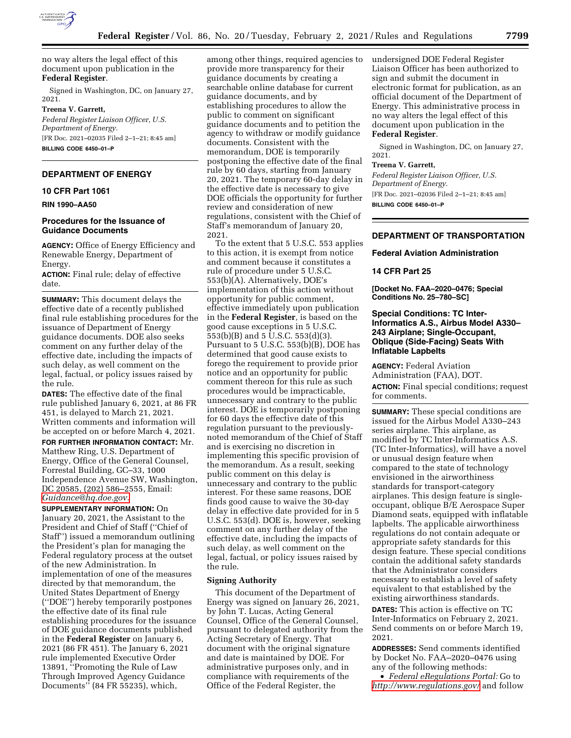

no way alters the legal effect of this document upon publication in the **Federal Register**.

Signed in Washington, DC, on January 27, 2021.

**Treena V. Garrett,** 

*Federal Register Liaison Officer, U.S. Department of Energy.*  [FR Doc. 2021–02035 Filed 2–1–21; 8:45 am]

**BILLING CODE 6450–01–P** 

# **DEPARTMENT OF ENERGY**

### **10 CFR Part 1061**

**RIN 1990–AA50** 

## **Procedures for the Issuance of Guidance Documents**

**AGENCY:** Office of Energy Efficiency and Renewable Energy, Department of Energy.

**ACTION:** Final rule; delay of effective date.

**SUMMARY:** This document delays the effective date of a recently published final rule establishing procedures for the issuance of Department of Energy guidance documents. DOE also seeks comment on any further delay of the effective date, including the impacts of such delay, as well comment on the legal, factual, or policy issues raised by the rule.

**DATES:** The effective date of the final rule published January 6, 2021, at 86 FR 451, is delayed to March 21, 2021. Written comments and information will be accepted on or before March 4, 2021.

**FOR FURTHER INFORMATION CONTACT:** Mr. Matthew Ring, U.S. Department of Energy, Office of the General Counsel, Forrestal Building, GC–33, 1000 Independence Avenue SW, Washington, DC 20585, (202) 586–2555, Email: *[Guidance@hq.doe.gov.](mailto:Guidance@hq.doe.gov)* 

**SUPPLEMENTARY INFORMATION:** On January 20, 2021, the Assistant to the President and Chief of Staff (''Chief of Staff'') issued a memorandum outlining the President's plan for managing the Federal regulatory process at the outset of the new Administration. In implementation of one of the measures directed by that memorandum, the United States Department of Energy (''DOE'') hereby temporarily postpones the effective date of its final rule establishing procedures for the issuance of DOE guidance documents published in the **Federal Register** on January 6, 2021 (86 FR 451). The January 6, 2021 rule implemented Executive Order 13891, ''Promoting the Rule of Law Through Improved Agency Guidance Documents'' (84 FR 55235), which,

among other things, required agencies to provide more transparency for their guidance documents by creating a searchable online database for current guidance documents, and by establishing procedures to allow the public to comment on significant guidance documents and to petition the agency to withdraw or modify guidance documents. Consistent with the memorandum, DOE is temporarily postponing the effective date of the final rule by 60 days, starting from January 20, 2021. The temporary 60-day delay in the effective date is necessary to give DOE officials the opportunity for further review and consideration of new regulations, consistent with the Chief of Staff's memorandum of January 20, 2021.

To the extent that 5 U.S.C. 553 applies to this action, it is exempt from notice and comment because it constitutes a rule of procedure under 5 U.S.C. 553(b)(A). Alternatively, DOE's implementation of this action without opportunity for public comment, effective immediately upon publication in the **Federal Register***,* is based on the good cause exceptions in 5 U.S.C. 553(b)(B) and 5 U.S.C. 553(d)(3). Pursuant to 5 U.S.C. 553(b)(B), DOE has determined that good cause exists to forego the requirement to provide prior notice and an opportunity for public comment thereon for this rule as such procedures would be impracticable, unnecessary and contrary to the public interest. DOE is temporarily postponing for 60 days the effective date of this regulation pursuant to the previouslynoted memorandum of the Chief of Staff and is exercising no discretion in implementing this specific provision of the memorandum. As a result, seeking public comment on this delay is unnecessary and contrary to the public interest. For these same reasons, DOE finds good cause to waive the 30-day delay in effective date provided for in 5 U.S.C. 553(d). DOE is, however, seeking comment on any further delay of the effective date, including the impacts of such delay, as well comment on the legal, factual, or policy issues raised by the rule.

## **Signing Authority**

This document of the Department of Energy was signed on January 26, 2021, by John T. Lucas, Acting General Counsel, Office of the General Counsel, pursuant to delegated authority from the Acting Secretary of Energy. That document with the original signature and date is maintained by DOE. For administrative purposes only, and in compliance with requirements of the Office of the Federal Register, the

undersigned DOE Federal Register Liaison Officer has been authorized to sign and submit the document in electronic format for publication, as an official document of the Department of Energy. This administrative process in no way alters the legal effect of this document upon publication in the **Federal Register**.

Signed in Washington, DC, on January 27, 2021.

#### **Treena V. Garrett,**

*Federal Register Liaison Officer, U.S. Department of Energy.*  [FR Doc. 2021–02036 Filed 2–1–21; 8:45 am]

**BILLING CODE 6450–01–P** 

# **DEPARTMENT OF TRANSPORTATION**

#### **Federal Aviation Administration**

#### **14 CFR Part 25**

**[Docket No. FAA–2020–0476; Special Conditions No. 25–780–SC]** 

## **Special Conditions: TC Inter-Informatics A.S., Airbus Model A330– 243 Airplane; Single-Occupant, Oblique (Side-Facing) Seats With Inflatable Lapbelts**

**AGENCY:** Federal Aviation Administration (FAA), DOT. **ACTION:** Final special conditions; request for comments.

**SUMMARY:** These special conditions are issued for the Airbus Model A330–243 series airplane. This airplane, as modified by TC Inter-Informatics A.S. (TC Inter-Informatics), will have a novel or unusual design feature when compared to the state of technology envisioned in the airworthiness standards for transport-category airplanes. This design feature is singleoccupant, oblique B/E Aerospace Super Diamond seats, equipped with inflatable lapbelts. The applicable airworthiness regulations do not contain adequate or appropriate safety standards for this design feature. These special conditions contain the additional safety standards that the Administrator considers necessary to establish a level of safety equivalent to that established by the existing airworthiness standards.

**DATES:** This action is effective on TC Inter-Informatics on February 2, 2021. Send comments on or before March 19, 2021.

**ADDRESSES:** Send comments identified by Docket No. FAA–2020–0476 using any of the following methods:

• *Federal eRegulations Portal:* Go to *<http://www.regulations.gov/>*and follow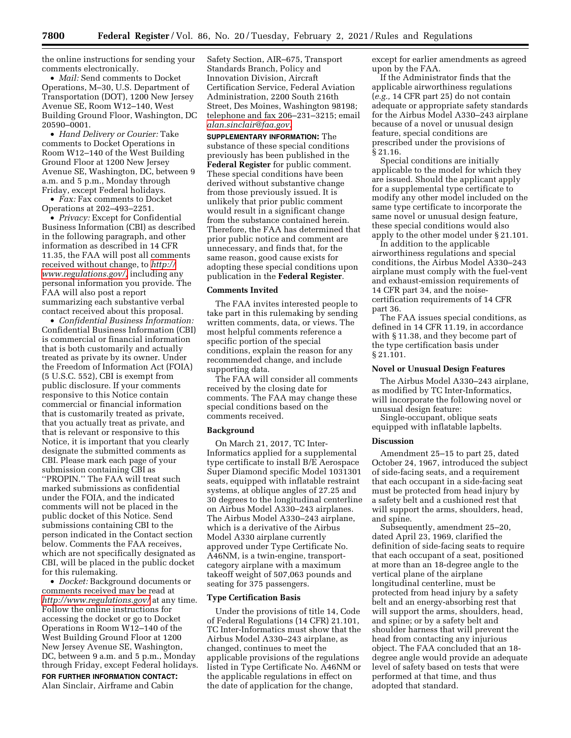the online instructions for sending your comments electronically.

• *Mail:* Send comments to Docket Operations, M–30, U.S. Department of Transportation (DOT), 1200 New Jersey Avenue SE, Room W12–140, West Building Ground Floor, Washington, DC 20590–0001.

• *Hand Delivery or Courier:* Take comments to Docket Operations in Room W12–140 of the West Building Ground Floor at 1200 New Jersey Avenue SE, Washington, DC, between 9 a.m. and 5 p.m., Monday through Friday, except Federal holidays.

• *Fax:* Fax comments to Docket Operations at 202–493–2251.

• *Privacy:* Except for Confidential Business Information (CBI) as described in the following paragraph, and other information as described in 14 CFR 11.35, the FAA will post all comments received without change, to *[http://](http://www.regulations.gov/) [www.regulations.gov/,](http://www.regulations.gov/)* including any personal information you provide. The FAA will also post a report summarizing each substantive verbal contact received about this proposal.

• *Confidential Business Information:*  Confidential Business Information (CBI) is commercial or financial information that is both customarily and actually treated as private by its owner. Under the Freedom of Information Act (FOIA) (5 U.S.C. 552), CBI is exempt from public disclosure. If your comments responsive to this Notice contain commercial or financial information that is customarily treated as private, that you actually treat as private, and that is relevant or responsive to this Notice, it is important that you clearly designate the submitted comments as CBI. Please mark each page of your submission containing CBI as ''PROPIN.'' The FAA will treat such marked submissions as confidential under the FOIA, and the indicated comments will not be placed in the public docket of this Notice. Send submissions containing CBI to the person indicated in the Contact section below. Comments the FAA receives, which are not specifically designated as CBI, will be placed in the public docket for this rulemaking.

• *Docket:* Background documents or comments received may be read at *<http://www.regulations.gov/>*at any time. Follow the online instructions for accessing the docket or go to Docket Operations in Room W12–140 of the West Building Ground Floor at 1200 New Jersey Avenue SE, Washington, DC, between 9 a.m. and 5 p.m., Monday through Friday, except Federal holidays.

**FOR FURTHER INFORMATION CONTACT:**  Alan Sinclair, Airframe and Cabin

Safety Section, AIR–675, Transport Standards Branch, Policy and Innovation Division, Aircraft Certification Service, Federal Aviation Administration, 2200 South 216th Street, Des Moines, Washington 98198; telephone and fax 206–231–3215; email *[alan.sinclair@faa.gov.](mailto:alan.sinclair@faa.gov)* 

**SUPPLEMENTARY INFORMATION:** The substance of these special conditions previously has been published in the **Federal Register** for public comment. These special conditions have been derived without substantive change from those previously issued. It is unlikely that prior public comment would result in a significant change from the substance contained herein. Therefore, the FAA has determined that prior public notice and comment are unnecessary, and finds that, for the same reason, good cause exists for adopting these special conditions upon publication in the **Federal Register**.

### **Comments Invited**

The FAA invites interested people to take part in this rulemaking by sending written comments, data, or views. The most helpful comments reference a specific portion of the special conditions, explain the reason for any recommended change, and include supporting data.

The FAA will consider all comments received by the closing date for comments. The FAA may change these special conditions based on the comments received.

#### **Background**

On March 21, 2017, TC Inter-Informatics applied for a supplemental type certificate to install B/E Aerospace Super Diamond specific Model 1031301 seats, equipped with inflatable restraint systems, at oblique angles of 27.25 and 30 degrees to the longitudinal centerline on Airbus Model A330–243 airplanes. The Airbus Model A330–243 airplane, which is a derivative of the Airbus Model A330 airplane currently approved under Type Certificate No. A46NM, is a twin-engine, transportcategory airplane with a maximum takeoff weight of 507,063 pounds and seating for 375 passengers.

#### **Type Certification Basis**

Under the provisions of title 14, Code of Federal Regulations (14 CFR) 21.101, TC Inter-Informatics must show that the Airbus Model A330–243 airplane, as changed, continues to meet the applicable provisions of the regulations listed in Type Certificate No. A46NM or the applicable regulations in effect on the date of application for the change,

except for earlier amendments as agreed upon by the FAA.

If the Administrator finds that the applicable airworthiness regulations (*e.g.,* 14 CFR part 25) do not contain adequate or appropriate safety standards for the Airbus Model A330–243 airplane because of a novel or unusual design feature, special conditions are prescribed under the provisions of § 21.16.

Special conditions are initially applicable to the model for which they are issued. Should the applicant apply for a supplemental type certificate to modify any other model included on the same type certificate to incorporate the same novel or unusual design feature, these special conditions would also apply to the other model under § 21.101.

In addition to the applicable airworthiness regulations and special conditions, the Airbus Model A330–243 airplane must comply with the fuel-vent and exhaust-emission requirements of 14 CFR part 34, and the noisecertification requirements of 14 CFR part 36.

The FAA issues special conditions, as defined in 14 CFR 11.19, in accordance with § 11.38, and they become part of the type certification basis under § 21.101.

## **Novel or Unusual Design Features**

The Airbus Model A330–243 airplane, as modified by TC Inter-Informatics, will incorporate the following novel or unusual design feature:

Single-occupant, oblique seats equipped with inflatable lapbelts.

#### **Discussion**

Amendment 25–15 to part 25, dated October 24, 1967, introduced the subject of side-facing seats, and a requirement that each occupant in a side-facing seat must be protected from head injury by a safety belt and a cushioned rest that will support the arms, shoulders, head, and spine.

Subsequently, amendment 25–20, dated April 23, 1969, clarified the definition of side-facing seats to require that each occupant of a seat, positioned at more than an 18-degree angle to the vertical plane of the airplane longitudinal centerline, must be protected from head injury by a safety belt and an energy-absorbing rest that will support the arms, shoulders, head, and spine; or by a safety belt and shoulder harness that will prevent the head from contacting any injurious object. The FAA concluded that an 18 degree angle would provide an adequate level of safety based on tests that were performed at that time, and thus adopted that standard.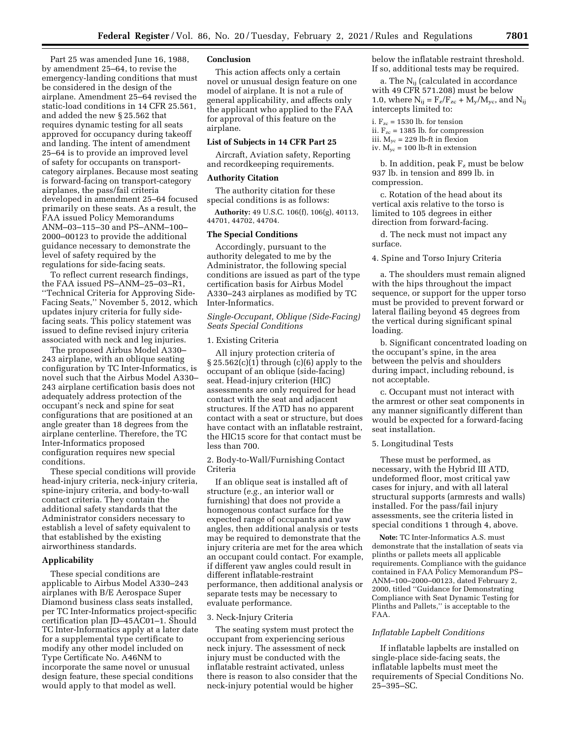Part 25 was amended June 16, 1988, by amendment 25–64, to revise the emergency-landing conditions that must be considered in the design of the airplane. Amendment 25–64 revised the static-load conditions in 14 CFR 25.561, and added the new § 25.562 that requires dynamic testing for all seats approved for occupancy during takeoff and landing. The intent of amendment 25–64 is to provide an improved level of safety for occupants on transportcategory airplanes. Because most seating is forward-facing on transport-category airplanes, the pass/fail criteria developed in amendment 25–64 focused primarily on these seats. As a result, the FAA issued Policy Memorandums ANM–03–115–30 and PS–ANM–100– 2000–00123 to provide the additional guidance necessary to demonstrate the level of safety required by the regulations for side-facing seats.

To reflect current research findings, the FAA issued PS–ANM–25–03–R1, ''Technical Criteria for Approving Side-Facing Seats,'' November 5, 2012, which updates injury criteria for fully sidefacing seats. This policy statement was issued to define revised injury criteria associated with neck and leg injuries.

The proposed Airbus Model A330– 243 airplane, with an oblique seating configuration by TC Inter-Informatics, is novel such that the Airbus Model A330– 243 airplane certification basis does not adequately address protection of the occupant's neck and spine for seat configurations that are positioned at an angle greater than 18 degrees from the airplane centerline. Therefore, the TC Inter-Informatics proposed configuration requires new special conditions.

These special conditions will provide head-injury criteria, neck-injury criteria, spine-injury criteria, and body-to-wall contact criteria. They contain the additional safety standards that the Administrator considers necessary to establish a level of safety equivalent to that established by the existing airworthiness standards.

#### **Applicability**

These special conditions are applicable to Airbus Model A330–243 airplanes with B/E Aerospace Super Diamond business class seats installed, per TC Inter-Informatics project-specific certification plan JD–45AC01–1. Should TC Inter-Informatics apply at a later date for a supplemental type certificate to modify any other model included on Type Certificate No. A46NM to incorporate the same novel or unusual design feature, these special conditions would apply to that model as well.

## **Conclusion**

This action affects only a certain novel or unusual design feature on one model of airplane. It is not a rule of general applicability, and affects only the applicant who applied to the FAA for approval of this feature on the airplane.

## **List of Subjects in 14 CFR Part 25**

Aircraft, Aviation safety, Reporting and recordkeeping requirements.

#### **Authority Citation**

The authority citation for these special conditions is as follows:

**Authority:** 49 U.S.C. 106(f), 106(g), 40113, 44701, 44702, 44704.

#### **The Special Conditions**

Accordingly, pursuant to the authority delegated to me by the Administrator, the following special conditions are issued as part of the type certification basis for Airbus Model A330–243 airplanes as modified by TC Inter-Informatics.

## *Single-Occupant, Oblique (Side-Facing) Seats Special Conditions*

## 1. Existing Criteria

All injury protection criteria of  $§ 25.562(c)(1)$  through (c)(6) apply to the occupant of an oblique (side-facing) seat. Head-injury criterion (HIC) assessments are only required for head contact with the seat and adjacent structures. If the ATD has no apparent contact with a seat or structure, but does have contact with an inflatable restraint, the HIC15 score for that contact must be less than 700.

2. Body-to-Wall/Furnishing Contact Criteria

If an oblique seat is installed aft of structure (*e.g.,* an interior wall or furnishing) that does not provide a homogenous contact surface for the expected range of occupants and yaw angles, then additional analysis or tests may be required to demonstrate that the injury criteria are met for the area which an occupant could contact. For example, if different yaw angles could result in different inflatable-restraint performance, then additional analysis or separate tests may be necessary to evaluate performance.

#### 3. Neck-Injury Criteria

The seating system must protect the occupant from experiencing serious neck injury. The assessment of neck injury must be conducted with the inflatable restraint activated, unless there is reason to also consider that the neck-injury potential would be higher

below the inflatable restraint threshold. If so, additional tests may be required.

a. The Nij (calculated in accordance with 49 CFR 571.208) must be below 1.0, where  $N_{ij} = F_z/F_{zc} + M_v/M_{yc}$ , and  $N_{ij}$ intercepts limited to:

- i.  $F_{zc} = 1530$  lb. for tension ii.  $F_{zc} = 1385$  lb. for compression
- iii.  $M_{yc} = 229$  lb-ft in flexion iv.  $M_{yc}$  = 100 lb-ft in extension
- 

b. In addition, peak  $F_z$  must be below 937 lb. in tension and 899 lb. in compression.

c. Rotation of the head about its vertical axis relative to the torso is limited to 105 degrees in either direction from forward-facing.

d. The neck must not impact any surface.

4. Spine and Torso Injury Criteria

a. The shoulders must remain aligned with the hips throughout the impact sequence, or support for the upper torso must be provided to prevent forward or lateral flailing beyond 45 degrees from the vertical during significant spinal loading.

b. Significant concentrated loading on the occupant's spine, in the area between the pelvis and shoulders during impact, including rebound, is not acceptable.

c. Occupant must not interact with the armrest or other seat components in any manner significantly different than would be expected for a forward-facing seat installation.

## 5. Longitudinal Tests

These must be performed, as necessary, with the Hybrid III ATD, undeformed floor, most critical yaw cases for injury, and with all lateral structural supports (armrests and walls) installed. For the pass/fail injury assessments, see the criteria listed in special conditions 1 through 4, above.

**Note:** TC Inter-Informatics A.S. must demonstrate that the installation of seats via plinths or pallets meets all applicable requirements. Compliance with the guidance contained in FAA Policy Memorandum PS– ANM–100–2000–00123, dated February 2, 2000, titled ''Guidance for Demonstrating Compliance with Seat Dynamic Testing for Plinths and Pallets,'' is acceptable to the FAA.

#### *Inflatable Lapbelt Conditions*

If inflatable lapbelts are installed on single-place side-facing seats, the inflatable lapbelts must meet the requirements of Special Conditions No. 25–395–SC.